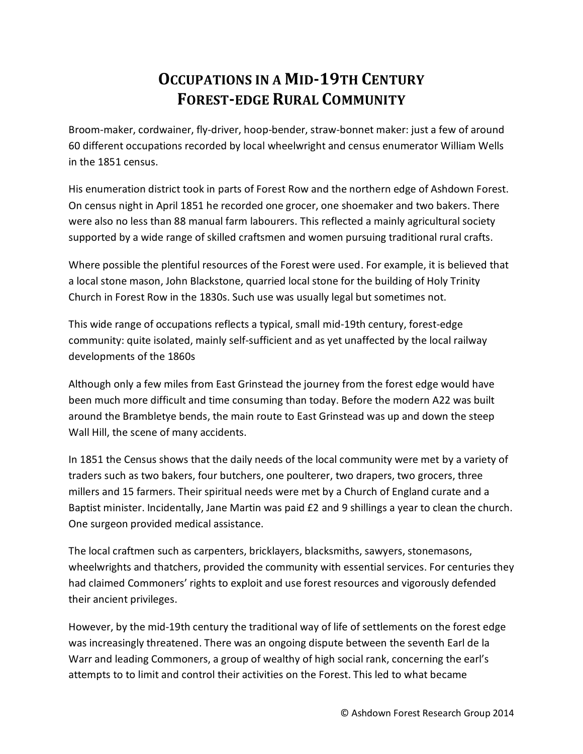## **OCCUPATIONS IN A MID-19TH CENTURY FOREST-EDGE RURAL COMMUNITY**

Broom-maker, cordwainer, fly-driver, hoop-bender, straw-bonnet maker: just a few of around 60 different occupations recorded by local wheelwright and census enumerator William Wells in the 1851 census.

His enumeration district took in parts of Forest Row and the northern edge of Ashdown Forest. On census night in April 1851 he recorded one grocer, one shoemaker and two bakers. There were also no less than 88 manual farm labourers. This reflected a mainly agricultural society supported by a wide range of skilled craftsmen and women pursuing traditional rural crafts.

Where possible the plentiful resources of the Forest were used. For example, it is believed that a local stone mason, John Blackstone, quarried local stone for the building of Holy Trinity Church in Forest Row in the 1830s. Such use was usually legal but sometimes not.

This wide range of occupations reflects a typical, small mid-19th century, forest-edge community: quite isolated, mainly self-sufficient and as yet unaffected by the local railway developments of the 1860s

Although only a few miles from East Grinstead the journey from the forest edge would have been much more difficult and time consuming than today. Before the modern A22 was built around the Brambletye bends, the main route to East Grinstead was up and down the steep Wall Hill, the scene of many accidents.

In 1851 the Census shows that the daily needs of the local community were met by a variety of traders such as two bakers, four butchers, one poulterer, two drapers, two grocers, three millers and 15 farmers. Their spiritual needs were met by a Church of England curate and a Baptist minister. Incidentally, Jane Martin was paid £2 and 9 shillings a year to clean the church. One surgeon provided medical assistance.

The local craftmen such as carpenters, bricklayers, blacksmiths, sawyers, stonemasons, wheelwrights and thatchers, provided the community with essential services. For centuries they had claimed Commoners' rights to exploit and use forest resources and vigorously defended their ancient privileges.

However, by the mid-19th century the traditional way of life of settlements on the forest edge was increasingly threatened. There was an ongoing dispute between the seventh Earl de la Warr and leading Commoners, a group of wealthy of high social rank, concerning the earl's attempts to to limit and control their activities on the Forest. This led to what became